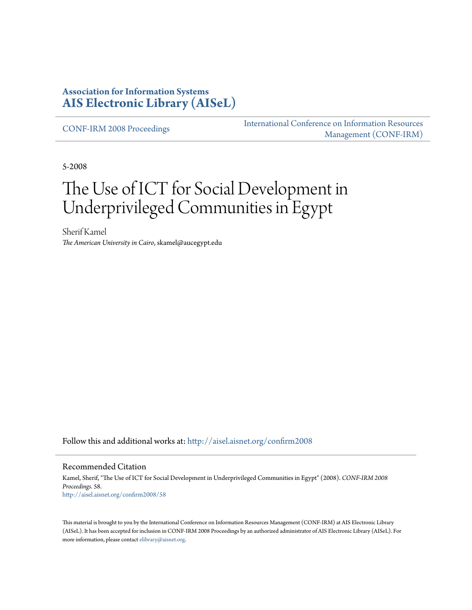#### **Association for Information Systems [AIS Electronic Library \(AISeL\)](http://aisel.aisnet.org?utm_source=aisel.aisnet.org%2Fconfirm2008%2F58&utm_medium=PDF&utm_campaign=PDFCoverPages)**

[CONF-IRM 2008 Proceedings](http://aisel.aisnet.org/confirm2008?utm_source=aisel.aisnet.org%2Fconfirm2008%2F58&utm_medium=PDF&utm_campaign=PDFCoverPages)

[International Conference on Information Resources](http://aisel.aisnet.org/conf-irm?utm_source=aisel.aisnet.org%2Fconfirm2008%2F58&utm_medium=PDF&utm_campaign=PDFCoverPages) [Management \(CONF-IRM\)](http://aisel.aisnet.org/conf-irm?utm_source=aisel.aisnet.org%2Fconfirm2008%2F58&utm_medium=PDF&utm_campaign=PDFCoverPages)

5-2008

# The Use of ICT for Social Development in Underprivileged Communities in Egypt

Sherif Kamel *The American University in Cairo*, skamel@aucegypt.edu

Follow this and additional works at: [http://aisel.aisnet.org/confirm2008](http://aisel.aisnet.org/confirm2008?utm_source=aisel.aisnet.org%2Fconfirm2008%2F58&utm_medium=PDF&utm_campaign=PDFCoverPages)

#### Recommended Citation

Kamel, Sherif, "The Use of ICT for Social Development in Underprivileged Communities in Egypt" (2008). *CONF-IRM 2008 Proceedings*. 58. [http://aisel.aisnet.org/confirm2008/58](http://aisel.aisnet.org/confirm2008/58?utm_source=aisel.aisnet.org%2Fconfirm2008%2F58&utm_medium=PDF&utm_campaign=PDFCoverPages)

This material is brought to you by the International Conference on Information Resources Management (CONF-IRM) at AIS Electronic Library (AISeL). It has been accepted for inclusion in CONF-IRM 2008 Proceedings by an authorized administrator of AIS Electronic Library (AISeL). For more information, please contact [elibrary@aisnet.org.](mailto:elibrary@aisnet.org%3E)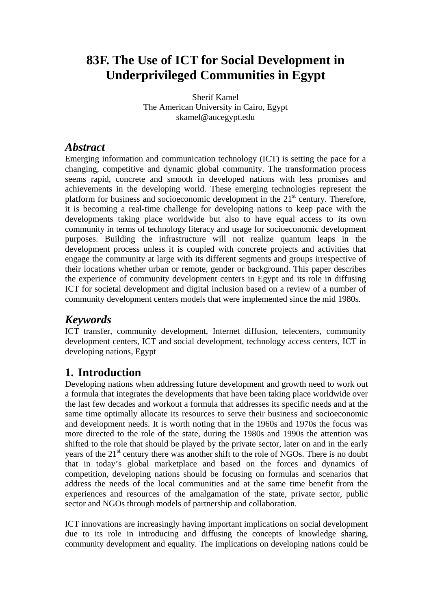## **83F. The Use of ICT for Social Development in Underprivileged Communities in Egypt**

Sherif Kamel The American University in Cairo, Egypt skamel@aucegypt.edu

### *Abstract*

Emerging information and communication technology (ICT) is setting the pace for a changing, competitive and dynamic global community. The transformation process seems rapid, concrete and smooth in developed nations with less promises and achievements in the developing world. These emerging technologies represent the platform for business and socioeconomic development in the  $21<sup>st</sup>$  century. Therefore, it is becoming a real-time challenge for developing nations to keep pace with the developments taking place worldwide but also to have equal access to its own community in terms of technology literacy and usage for socioeconomic development purposes. Building the infrastructure will not realize quantum leaps in the development process unless it is coupled with concrete projects and activities that engage the community at large with its different segments and groups irrespective of their locations whether urban or remote, gender or background. This paper describes the experience of community development centers in Egypt and its role in diffusing ICT for societal development and digital inclusion based on a review of a number of community development centers models that were implemented since the mid 1980s*.*

## *Keywords*

ICT transfer, community development, Internet diffusion, telecenters, community development centers, ICT and social development, technology access centers, ICT in developing nations, Egypt

## **1. Introduction**

Developing nations when addressing future development and growth need to work out a formula that integrates the developments that have been taking place worldwide over the last few decades and workout a formula that addresses its specific needs and at the same time optimally allocate its resources to serve their business and socioeconomic and development needs. It is worth noting that in the 1960s and 1970s the focus was more directed to the role of the state, during the 1980s and 1990s the attention was shifted to the role that should be played by the private sector, later on and in the early years of the 21<sup>st</sup> century there was another shift to the role of NGOs. There is no doubt that in today's global marketplace and based on the forces and dynamics of competition, developing nations should be focusing on formulas and scenarios that address the needs of the local communities and at the same time benefit from the experiences and resources of the amalgamation of the state, private sector, public sector and NGOs through models of partnership and collaboration.

ICT innovations are increasingly having important implications on social development due to its role in introducing and diffusing the concepts of knowledge sharing, community development and equality. The implications on developing nations could be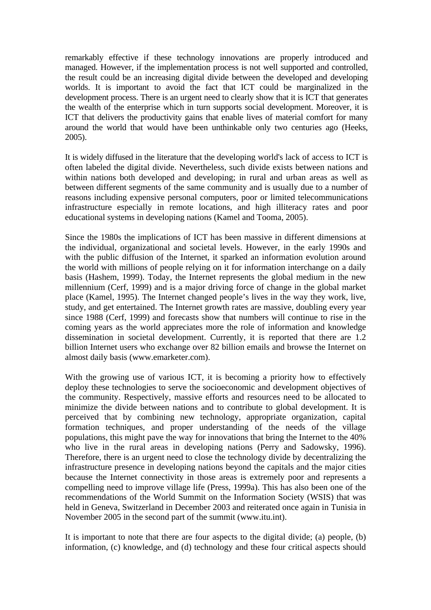remarkably effective if these technology innovations are properly introduced and managed. However, if the implementation process is not well supported and controlled, the result could be an increasing digital divide between the developed and developing worlds. It is important to avoid the fact that ICT could be marginalized in the development process. There is an urgent need to clearly show that it is ICT that generates the wealth of the enterprise which in turn supports social development. Moreover, it is ICT that delivers the productivity gains that enable lives of material comfort for many around the world that would have been unthinkable only two centuries ago (Heeks, 2005).

It is widely diffused in the literature that the developing world's lack of access to ICT is often labeled the digital divide. Nevertheless, such divide exists between nations and within nations both developed and developing; in rural and urban areas as well as between different segments of the same community and is usually due to a number of reasons including expensive personal computers, poor or limited telecommunications infrastructure especially in remote locations, and high illiteracy rates and poor educational systems in developing nations (Kamel and Tooma, 2005).

Since the 1980s the implications of ICT has been massive in different dimensions at the individual, organizational and societal levels. However, in the early 1990s and with the public diffusion of the Internet, it sparked an information evolution around the world with millions of people relying on it for information interchange on a daily basis (Hashem, 1999). Today, the Internet represents the global medium in the new millennium (Cerf, 1999) and is a major driving force of change in the global market place (Kamel, 1995). The Internet changed people's lives in the way they work, live, study, and get entertained. The Internet growth rates are massive, doubling every year since 1988 (Cerf, 1999) and forecasts show that numbers will continue to rise in the coming years as the world appreciates more the role of information and knowledge dissemination in societal development. Currently, it is reported that there are 1.2 billion Internet users who exchange over 82 billion emails and browse the Internet on almost daily basis (www.emarketer.com).

With the growing use of various ICT, it is becoming a priority how to effectively deploy these technologies to serve the socioeconomic and development objectives of the community. Respectively, massive efforts and resources need to be allocated to minimize the divide between nations and to contribute to global development. It is perceived that by combining new technology, appropriate organization, capital formation techniques, and proper understanding of the needs of the village populations, this might pave the way for innovations that bring the Internet to the 40% who live in the rural areas in developing nations (Perry and Sadowsky, 1996). Therefore, there is an urgent need to close the technology divide by decentralizing the infrastructure presence in developing nations beyond the capitals and the major cities because the Internet connectivity in those areas is extremely poor and represents a compelling need to improve village life (Press, 1999a). This has also been one of the recommendations of the World Summit on the Information Society (WSIS) that was held in Geneva, Switzerland in December 2003 and reiterated once again in Tunisia in November 2005 in the second part of the summit (www.itu.int).

It is important to note that there are four aspects to the digital divide; (a) people, (b) information, (c) knowledge, and (d) technology and these four critical aspects should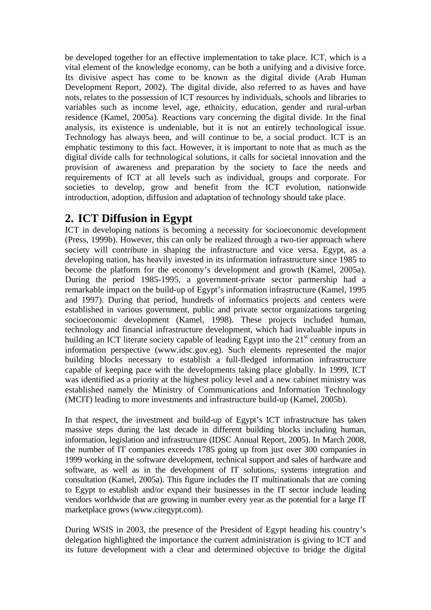be developed together for an effective implementation to take place. ICT, which is a vital element of the knowledge economy, can be both a unifying and a divisive force. Its divisive aspect has come to be known as the digital divide (Arab Human Development Report, 2002). The digital divide, also referred to as haves and have nots, relates to the possession of ICT resources by individuals, schools and libraries to variables such as income level, age, ethnicity, education, gender and rural-urban residence (Kamel, 2005a). Reactions vary concerning the digital divide. In the final analysis, its existence is undeniable, but it is not an entirely technological issue. Technology has always been, and will continue to be, a social product. ICT is an emphatic testimony to this fact. However, it is important to note that as much as the digital divide calls for technological solutions, it calls for societal innovation and the provision of awareness and preparation by the society to face the needs and requirements of ICT at all levels such as individual, groups and corporate. For societies to develop, grow and benefit from the ICT evolution, nationwide introduction, adoption, diffusion and adaptation of technology should take place.

## **2. ICT Diffusion in Egypt**

ICT in developing nations is becoming a necessity for socioeconomic development (Press, 1999b). However, this can only be realized through a two-tier approach where society will contribute in shaping the infrastructure and vice versa. Egypt, as a developing nation, has heavily invested in its information infrastructure since 1985 to become the platform for the economy's development and growth (Kamel, 2005a). During the period 1985-1995, a government-private sector partnership had a remarkable impact on the build-up of Egypt's information infrastructure (Kamel, 1995 and 1997). During that period, hundreds of informatics projects and centers were established in various government, public and private sector organizations targeting socioeconomic development (Kamel, 1998). These projects included human, technology and financial infrastructure development, which had invaluable inputs in building an ICT literate society capable of leading Egypt into the 21<sup>st</sup> century from an information perspective (www.idsc.gov.eg). Such elements represented the major building blocks necessary to establish a full-fledged information infrastructure capable of keeping pace with the developments taking place globally. In 1999, ICT was identified as a priority at the highest policy level and a new cabinet ministry was established namely the Ministry of Communications and Information Technology (MCIT) leading to more investments and infrastructure build-up (Kamel, 2005b).

In that respect, the investment and build-up of Egypt's ICT infrastructure has taken massive steps during the last decade in different building blocks including human, information, legislation and infrastructure (IDSC Annual Report, 2005). In March 2008, the number of IT companies exceeds 1785 going up from just over 300 companies in 1999 working in the software development, technical support and sales of hardware and software, as well as in the development of IT solutions, systems integration and consultation (Kamel, 2005a). This figure includes the IT multinationals that are coming to Egypt to establish and/or expand their businesses in the IT sector include leading vendors worldwide that are growing in number every year as the potential for a large IT marketplace grows (www.citegypt.com).

During WSIS in 2003, the presence of the President of Egypt heading his country's delegation highlighted the importance the current administration is giving to ICT and its future development with a clear and determined objective to bridge the digital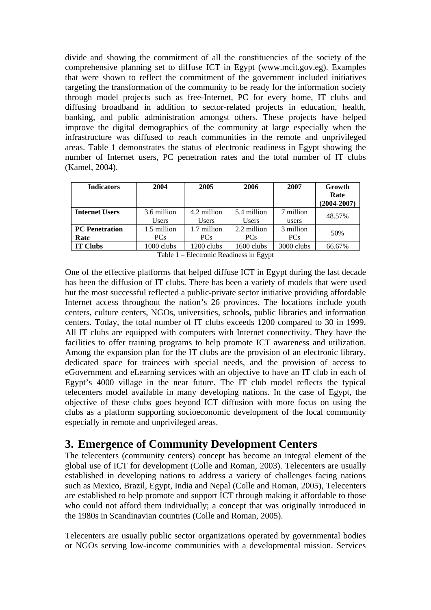divide and showing the commitment of all the constituencies of the society of the comprehensive planning set to diffuse ICT in Egypt (www.mcit.gov.eg). Examples that were shown to reflect the commitment of the government included initiatives targeting the transformation of the community to be ready for the information society through model projects such as free-Internet, PC for every home, IT clubs and diffusing broadband in addition to sector-related projects in education, health, banking, and public administration amongst others. These projects have helped improve the digital demographics of the community at large especially when the infrastructure was diffused to reach communities in the remote and unprivileged areas. Table 1 demonstrates the status of electronic readiness in Egypt showing the number of Internet users, PC penetration rates and the total number of IT clubs (Kamel, 2004).

| <b>Indicators</b>     | 2004            | 2005         | 2006         | 2007       | Growth<br>Rate<br>$(2004 - 2007)$ |  |
|-----------------------|-----------------|--------------|--------------|------------|-----------------------------------|--|
| <b>Internet Users</b> | 3.6 million     | 4.2 million  | 5.4 million  | 7 million  | 48.57%                            |  |
|                       | <b>Users</b>    | <b>Users</b> | <b>Users</b> | users      |                                   |  |
| <b>PC</b> Penetration | 1.5 million     | 1.7 million  | 2.2 million  | 3 million  | 50%                               |  |
| Rate                  | PC <sub>s</sub> | <b>PCs</b>   | <b>PCs</b>   | <b>PCs</b> |                                   |  |
| <b>IT Clubs</b>       | $1000$ clubs    | 1200 clubs   | 1600 clubs   | 3000 clubs | 66.67%                            |  |

Table 1 – Electronic Readiness in Egypt

One of the effective platforms that helped diffuse ICT in Egypt during the last decade has been the diffusion of IT clubs. There has been a variety of models that were used but the most successful reflected a public-private sector initiative providing affordable Internet access throughout the nation's 26 provinces. The locations include youth centers, culture centers, NGOs, universities, schools, public libraries and information centers. Today, the total number of IT clubs exceeds 1200 compared to 30 in 1999. All IT clubs are equipped with computers with Internet connectivity. They have the facilities to offer training programs to help promote ICT awareness and utilization. Among the expansion plan for the IT clubs are the provision of an electronic library, dedicated space for trainees with special needs, and the provision of access to eGovernment and eLearning services with an objective to have an IT club in each of Egypt's 4000 village in the near future. The IT club model reflects the typical telecenters model available in many developing nations. In the case of Egypt, the objective of these clubs goes beyond ICT diffusion with more focus on using the clubs as a platform supporting socioeconomic development of the local community especially in remote and unprivileged areas.

## **3. Emergence of Community Development Centers**

The telecenters (community centers) concept has become an integral element of the global use of ICT for development (Colle and Roman, 2003). Telecenters are usually established in developing nations to address a variety of challenges facing nations such as Mexico, Brazil, Egypt, India and Nepal (Colle and Roman, 2005), Telecenters are established to help promote and support ICT through making it affordable to those who could not afford them individually; a concept that was originally introduced in the 1980s in Scandinavian countries (Colle and Roman, 2005).

Telecenters are usually public sector organizations operated by governmental bodies or NGOs serving low-income communities with a developmental mission. Services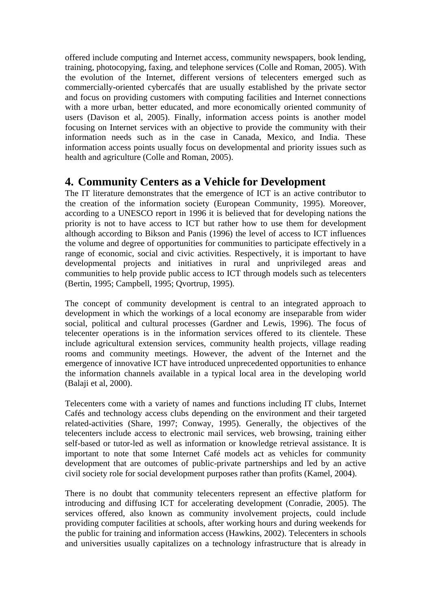offered include computing and Internet access, community newspapers, book lending, training, photocopying, faxing, and telephone services (Colle and Roman, 2005). With the evolution of the Internet, different versions of telecenters emerged such as commercially-oriented cybercafés that are usually established by the private sector and focus on providing customers with computing facilities and Internet connections with a more urban, better educated, and more economically oriented community of users (Davison et al, 2005). Finally, information access points is another model focusing on Internet services with an objective to provide the community with their information needs such as in the case in Canada, Mexico, and India. These information access points usually focus on developmental and priority issues such as health and agriculture (Colle and Roman, 2005).

## **4. Community Centers as a Vehicle for Development**

The IT literature demonstrates that the emergence of ICT is an active contributor to the creation of the information society (European Community, 1995). Moreover, according to a UNESCO report in 1996 it is believed that for developing nations the priority is not to have access to ICT but rather how to use them for development although according to Bikson and Panis (1996) the level of access to ICT influences the volume and degree of opportunities for communities to participate effectively in a range of economic, social and civic activities. Respectively, it is important to have developmental projects and initiatives in rural and unprivileged areas and communities to help provide public access to ICT through models such as telecenters (Bertin, 1995; Campbell, 1995; Qvortrup, 1995).

The concept of community development is central to an integrated approach to development in which the workings of a local economy are inseparable from wider social, political and cultural processes (Gardner and Lewis, 1996). The focus of telecenter operations is in the information services offered to its clientele. These include agricultural extension services, community health projects, village reading rooms and community meetings. However, the advent of the Internet and the emergence of innovative ICT have introduced unprecedented opportunities to enhance the information channels available in a typical local area in the developing world (Balaji et al, 2000).

Telecenters come with a variety of names and functions including IT clubs, Internet Cafés and technology access clubs depending on the environment and their targeted related-activities (Share, 1997; Conway, 1995). Generally, the objectives of the telecenters include access to electronic mail services, web browsing, training either self-based or tutor-led as well as information or knowledge retrieval assistance. It is important to note that some Internet Café models act as vehicles for community development that are outcomes of public-private partnerships and led by an active civil society role for social development purposes rather than profits (Kamel, 2004).

There is no doubt that community telecenters represent an effective platform for introducing and diffusing ICT for accelerating development (Conradie, 2005). The services offered, also known as community involvement projects, could include providing computer facilities at schools, after working hours and during weekends for the public for training and information access (Hawkins, 2002). Telecenters in schools and universities usually capitalizes on a technology infrastructure that is already in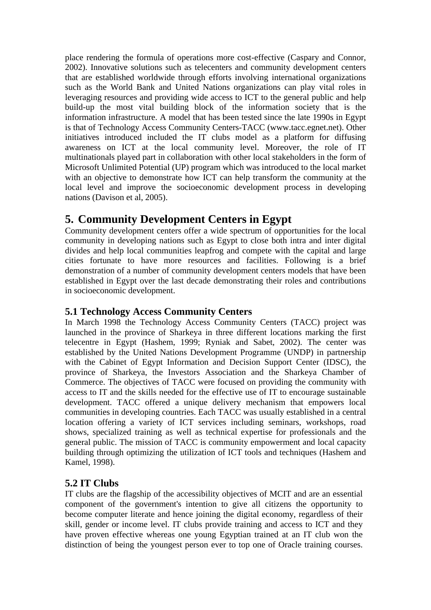place rendering the formula of operations more cost-effective (Caspary and Connor, 2002). Innovative solutions such as telecenters and community development centers that are established worldwide through efforts involving international organizations such as the World Bank and United Nations organizations can play vital roles in leveraging resources and providing wide access to ICT to the general public and help build-up the most vital building block of the information society that is the information infrastructure. A model that has been tested since the late 1990s in Egypt is that of Technology Access Community Centers-TACC (www.tacc.egnet.net). Other initiatives introduced included the IT clubs model as a platform for diffusing awareness on ICT at the local community level. Moreover, the role of IT multinationals played part in collaboration with other local stakeholders in the form of Microsoft Unlimited Potential (UP) program which was introduced to the local market with an objective to demonstrate how ICT can help transform the community at the local level and improve the socioeconomic development process in developing nations (Davison et al, 2005).

## **5. Community Development Centers in Egypt**

Community development centers offer a wide spectrum of opportunities for the local community in developing nations such as Egypt to close both intra and inter digital divides and help local communities leapfrog and compete with the capital and large cities fortunate to have more resources and facilities. Following is a brief demonstration of a number of community development centers models that have been established in Egypt over the last decade demonstrating their roles and contributions in socioeconomic development.

#### **5.1 Technology Access Community Centers**

In March 1998 the Technology Access Community Centers (TACC) project was launched in the province of Sharkeya in three different locations marking the first telecentre in Egypt (Hashem, 1999; Ryniak and Sabet, 2002). The center was established by the United Nations Development Programme (UNDP) in partnership with the Cabinet of Egypt Information and Decision Support Center (IDSC), the province of Sharkeya, the Investors Association and the Sharkeya Chamber of Commerce. The objectives of TACC were focused on providing the community with access to IT and the skills needed for the effective use of IT to encourage sustainable development. TACC offered a unique delivery mechanism that empowers local communities in developing countries. Each TACC was usually established in a central location offering a variety of ICT services including seminars, workshops, road shows, specialized training as well as technical expertise for professionals and the general public. The mission of TACC is community empowerment and local capacity building through optimizing the utilization of ICT tools and techniques (Hashem and Kamel, 1998).

#### **5.2 IT Clubs**

IT clubs are the flagship of the accessibility objectives of MCIT and are an essential component of the government's intention to give all citizens the opportunity to become computer literate and hence joining the digital economy, regardless of their skill, gender or income level. IT clubs provide training and access to ICT and they have proven effective whereas one young Egyptian trained at an IT club won the distinction of being the youngest person ever to top one of Oracle training courses.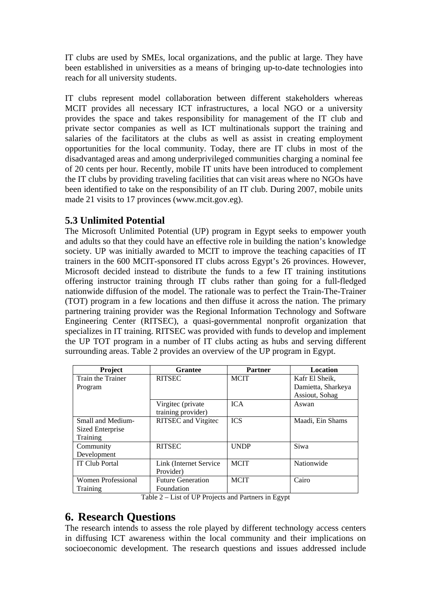IT clubs are used by SMEs, local organizations, and the public at large. They have been established in universities as a means of bringing up-to-date technologies into reach for all university students.

IT clubs represent model collaboration between different stakeholders whereas MCIT provides all necessary ICT infrastructures, a local NGO or a university provides the space and takes responsibility for management of the IT club and private sector companies as well as ICT multinationals support the training and salaries of the facilitators at the clubs as well as assist in creating employment opportunities for the local community. Today, there are IT clubs in most of the disadvantaged areas and among underprivileged communities charging a nominal fee of 20 cents per hour. Recently, mobile IT units have been introduced to complement the IT clubs by providing traveling facilities that can visit areas where no NGOs have been identified to take on the responsibility of an IT club. During 2007, mobile units made 21 visits to 17 provinces (www.mcit.gov.eg).

#### **5.3 Unlimited Potential**

The Microsoft Unlimited Potential (UP) program in Egypt seeks to empower youth and adults so that they could have an effective role in building the nation's knowledge society. UP was initially awarded to MCIT to improve the teaching capacities of IT trainers in the 600 MCIT-sponsored IT clubs across Egypt's 26 provinces. However, Microsoft decided instead to distribute the funds to a few IT training institutions offering instructor training through IT clubs rather than going for a full-fledged nationwide diffusion of the model. The rationale was to perfect the Train-The-Trainer (TOT) program in a few locations and then diffuse it across the nation. The primary partnering training provider was the Regional Information Technology and Software Engineering Center (RITSEC), a quasi-governmental nonprofit organization that specializes in IT training. RITSEC was provided with funds to develop and implement the UP TOT program in a number of IT clubs acting as hubs and serving different surrounding areas. Table 2 provides an overview of the UP program in Egypt.

| <b>Project</b>                                        | <b>Grantee</b>             | <b>Partner</b> | <b>Location</b>    |
|-------------------------------------------------------|----------------------------|----------------|--------------------|
| Train the Trainer<br><b>RITSEC</b>                    |                            | <b>MCIT</b>    | Kafr El Sheik,     |
| Program                                               |                            |                | Damietta, Sharkeya |
|                                                       |                            |                | Assiout, Sohag     |
|                                                       | Virgitec (private          | <b>ICA</b>     | Aswan              |
|                                                       | training provider)         |                |                    |
| Small and Medium-                                     | <b>RITSEC</b> and Vitgitec | <b>ICS</b>     | Maadi, Ein Shams   |
| Sized Enterprise                                      |                            |                |                    |
| Training                                              |                            |                |                    |
| Community                                             | <b>RITSEC</b>              | <b>UNDP</b>    | Siwa               |
| Development                                           |                            |                |                    |
| <b>IT Club Portal</b>                                 | Link (Internet Service)    | <b>MCIT</b>    | Nationwide         |
|                                                       | Provider)                  |                |                    |
| <b>Women Professional</b><br><b>Future Generation</b> |                            | <b>MCIT</b>    | Cairo              |
| Training                                              | Foundation                 |                |                    |

Table 2 – List of UP Projects and Partners in Egypt

## **6. Research Questions**

The research intends to assess the role played by different technology access centers in diffusing ICT awareness within the local community and their implications on socioeconomic development. The research questions and issues addressed include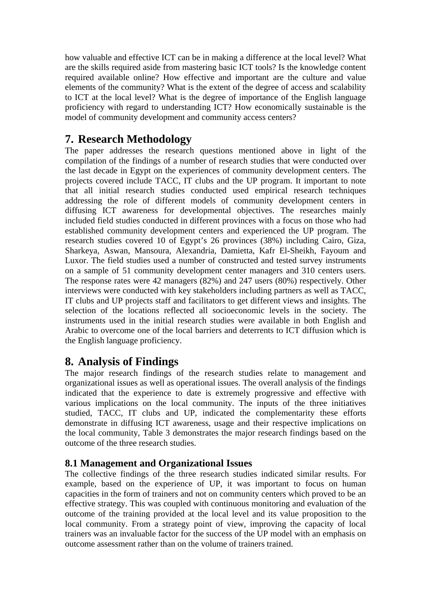how valuable and effective ICT can be in making a difference at the local level? What are the skills required aside from mastering basic ICT tools? Is the knowledge content required available online? How effective and important are the culture and value elements of the community? What is the extent of the degree of access and scalability to ICT at the local level? What is the degree of importance of the English language proficiency with regard to understanding ICT? How economically sustainable is the model of community development and community access centers?

## **7. Research Methodology**

The paper addresses the research questions mentioned above in light of the compilation of the findings of a number of research studies that were conducted over the last decade in Egypt on the experiences of community development centers. The projects covered include TACC, IT clubs and the UP program. It important to note that all initial research studies conducted used empirical research techniques addressing the role of different models of community development centers in diffusing ICT awareness for developmental objectives. The researches mainly included field studies conducted in different provinces with a focus on those who had established community development centers and experienced the UP program. The research studies covered 10 of Egypt's 26 provinces (38%) including Cairo, Giza, Sharkeya, Aswan, Mansoura, Alexandria, Damietta, Kafr El-Sheikh, Fayoum and Luxor. The field studies used a number of constructed and tested survey instruments on a sample of 51 community development center managers and 310 centers users. The response rates were 42 managers (82%) and 247 users (80%) respectively. Other interviews were conducted with key stakeholders including partners as well as TACC, IT clubs and UP projects staff and facilitators to get different views and insights. The selection of the locations reflected all socioeconomic levels in the society. The instruments used in the initial research studies were available in both English and Arabic to overcome one of the local barriers and deterrents to ICT diffusion which is the English language proficiency.

## **8. Analysis of Findings**

The major research findings of the research studies relate to management and organizational issues as well as operational issues. The overall analysis of the findings indicated that the experience to date is extremely progressive and effective with various implications on the local community. The inputs of the three initiatives studied, TACC, IT clubs and UP, indicated the complementarity these efforts demonstrate in diffusing ICT awareness, usage and their respective implications on the local community, Table 3 demonstrates the major research findings based on the outcome of the three research studies.

#### **8.1 Management and Organizational Issues**

The collective findings of the three research studies indicated similar results. For example, based on the experience of UP, it was important to focus on human capacities in the form of trainers and not on community centers which proved to be an effective strategy. This was coupled with continuous monitoring and evaluation of the outcome of the training provided at the local level and its value proposition to the local community. From a strategy point of view, improving the capacity of local trainers was an invaluable factor for the success of the UP model with an emphasis on outcome assessment rather than on the volume of trainers trained.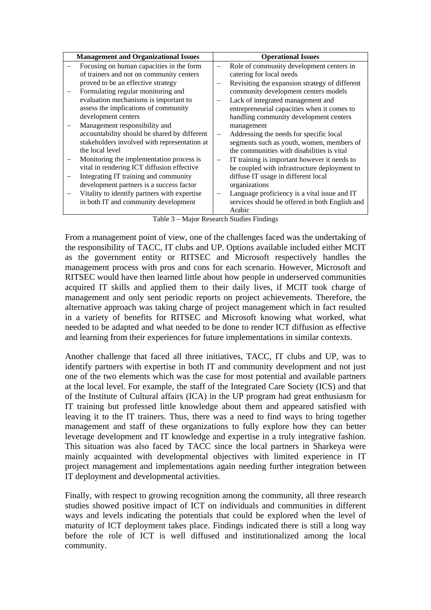| <b>Management and Organizational Issues</b> |                                              | <b>Operational Issues</b> |                                                |  |
|---------------------------------------------|----------------------------------------------|---------------------------|------------------------------------------------|--|
|                                             | Focusing on human capacities in the form     |                           | Role of community development centers in       |  |
|                                             | of trainers and not on community centers     |                           | catering for local needs                       |  |
|                                             | proved to be an effective strategy           |                           | Revisiting the expansion strategy of different |  |
| $\overline{\phantom{m}}$                    | Formulating regular monitoring and           |                           | community development centers models           |  |
|                                             | evaluation mechanisms is important to        |                           | Lack of integrated management and              |  |
|                                             | assess the implications of community         |                           | entrepreneurial capacities when it comes to    |  |
|                                             | development centers                          |                           | handling community development centers         |  |
|                                             | Management responsibility and                |                           | management                                     |  |
|                                             | accountability should be shared by different |                           | Addressing the needs for specific local        |  |
|                                             | stakeholders involved with representation at |                           | segments such as youth, women, members of      |  |
|                                             | the local level                              |                           | the communities with disabilities is vital     |  |
|                                             | Monitoring the implementation process is     |                           | IT training is important however it needs to   |  |
|                                             | vital in rendering ICT diffusion effective   |                           | be coupled with infrastructure deployment to   |  |
|                                             | Integrating IT training and community        |                           | diffuse IT usage in different local            |  |
|                                             | development partners is a success factor     |                           | organizations                                  |  |
|                                             | Vitality to identify partners with expertise |                           | Language proficiency is a vital issue and IT   |  |
|                                             | in both IT and community development         |                           | services should be offered in both English and |  |
|                                             |                                              |                           | Arabic                                         |  |

Table 3 – Major Research Studies Findings

From a management point of view, one of the challenges faced was the undertaking of the responsibility of TACC, IT clubs and UP. Options available included either MCIT as the government entity or RITSEC and Microsoft respectively handles the management process with pros and cons for each scenario. However, Microsoft and RITSEC would have then learned little about how people in underserved communities acquired IT skills and applied them to their daily lives, if MCIT took charge of management and only sent periodic reports on project achievements. Therefore, the alternative approach was taking charge of project management which in fact resulted in a variety of benefits for RITSEC and Microsoft knowing what worked, what needed to be adapted and what needed to be done to render ICT diffusion as effective and learning from their experiences for future implementations in similar contexts.

Another challenge that faced all three initiatives, TACC, IT clubs and UP, was to identify partners with expertise in both IT and community development and not just one of the two elements which was the case for most potential and available partners at the local level. For example, the staff of the Integrated Care Society (ICS) and that of the Institute of Cultural affairs (ICA) in the UP program had great enthusiasm for IT training but professed little knowledge about them and appeared satisfied with leaving it to the IT trainers. Thus, there was a need to find ways to bring together management and staff of these organizations to fully explore how they can better leverage development and IT knowledge and expertise in a truly integrative fashion. This situation was also faced by TACC since the local partners in Sharkeya were mainly acquainted with developmental objectives with limited experience in IT project management and implementations again needing further integration between IT deployment and developmental activities.

Finally, with respect to growing recognition among the community, all three research studies showed positive impact of ICT on individuals and communities in different ways and levels indicating the potentials that could be explored when the level of maturity of ICT deployment takes place. Findings indicated there is still a long way before the role of ICT is well diffused and institutionalized among the local community.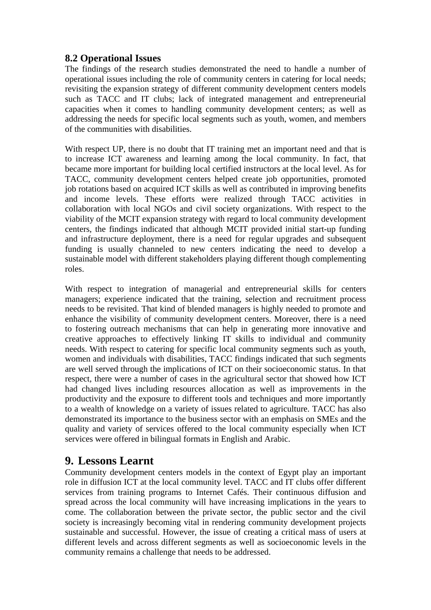#### **8.2 Operational Issues**

The findings of the research studies demonstrated the need to handle a number of operational issues including the role of community centers in catering for local needs; revisiting the expansion strategy of different community development centers models such as TACC and IT clubs; lack of integrated management and entrepreneurial capacities when it comes to handling community development centers; as well as addressing the needs for specific local segments such as youth, women, and members of the communities with disabilities.

With respect UP, there is no doubt that IT training met an important need and that is to increase ICT awareness and learning among the local community. In fact, that became more important for building local certified instructors at the local level. As for TACC, community development centers helped create job opportunities, promoted job rotations based on acquired ICT skills as well as contributed in improving benefits and income levels. These efforts were realized through TACC activities in collaboration with local NGOs and civil society organizations. With respect to the viability of the MCIT expansion strategy with regard to local community development centers, the findings indicated that although MCIT provided initial start-up funding and infrastructure deployment, there is a need for regular upgrades and subsequent funding is usually channeled to new centers indicating the need to develop a sustainable model with different stakeholders playing different though complementing roles.

With respect to integration of managerial and entrepreneurial skills for centers managers; experience indicated that the training, selection and recruitment process needs to be revisited. That kind of blended managers is highly needed to promote and enhance the visibility of community development centers. Moreover, there is a need to fostering outreach mechanisms that can help in generating more innovative and creative approaches to effectively linking IT skills to individual and community needs. With respect to catering for specific local community segments such as youth, women and individuals with disabilities, TACC findings indicated that such segments are well served through the implications of ICT on their socioeconomic status. In that respect, there were a number of cases in the agricultural sector that showed how ICT had changed lives including resources allocation as well as improvements in the productivity and the exposure to different tools and techniques and more importantly to a wealth of knowledge on a variety of issues related to agriculture. TACC has also demonstrated its importance to the business sector with an emphasis on SMEs and the quality and variety of services offered to the local community especially when ICT services were offered in bilingual formats in English and Arabic.

## **9. Lessons Learnt**

Community development centers models in the context of Egypt play an important role in diffusion ICT at the local community level. TACC and IT clubs offer different services from training programs to Internet Cafés. Their continuous diffusion and spread across the local community will have increasing implications in the years to come. The collaboration between the private sector, the public sector and the civil society is increasingly becoming vital in rendering community development projects sustainable and successful. However, the issue of creating a critical mass of users at different levels and across different segments as well as socioeconomic levels in the community remains a challenge that needs to be addressed.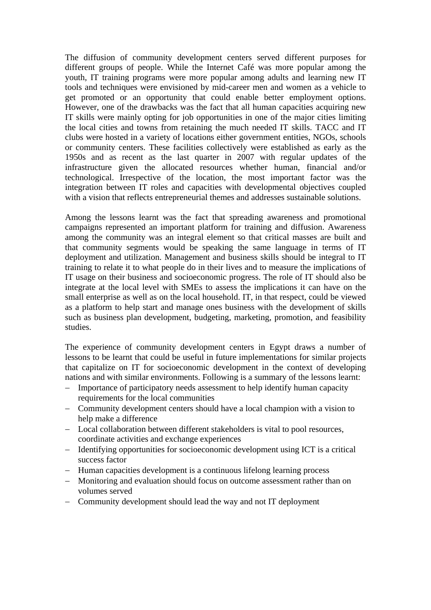The diffusion of community development centers served different purposes for different groups of people. While the Internet Café was more popular among the youth, IT training programs were more popular among adults and learning new IT tools and techniques were envisioned by mid-career men and women as a vehicle to get promoted or an opportunity that could enable better employment options. However, one of the drawbacks was the fact that all human capacities acquiring new IT skills were mainly opting for job opportunities in one of the major cities limiting the local cities and towns from retaining the much needed IT skills. TACC and IT clubs were hosted in a variety of locations either government entities, NGOs, schools or community centers. These facilities collectively were established as early as the 1950s and as recent as the last quarter in 2007 with regular updates of the infrastructure given the allocated resources whether human, financial and/or technological. Irrespective of the location, the most important factor was the integration between IT roles and capacities with developmental objectives coupled with a vision that reflects entrepreneurial themes and addresses sustainable solutions.

Among the lessons learnt was the fact that spreading awareness and promotional campaigns represented an important platform for training and diffusion. Awareness among the community was an integral element so that critical masses are built and that community segments would be speaking the same language in terms of IT deployment and utilization. Management and business skills should be integral to IT training to relate it to what people do in their lives and to measure the implications of IT usage on their business and socioeconomic progress. The role of IT should also be integrate at the local level with SMEs to assess the implications it can have on the small enterprise as well as on the local household. IT, in that respect, could be viewed as a platform to help start and manage ones business with the development of skills such as business plan development, budgeting, marketing, promotion, and feasibility studies.

The experience of community development centers in Egypt draws a number of lessons to be learnt that could be useful in future implementations for similar projects that capitalize on IT for socioeconomic development in the context of developing nations and with similar environments. Following is a summary of the lessons learnt:

- − Importance of participatory needs assessment to help identify human capacity requirements for the local communities
- − Community development centers should have a local champion with a vision to help make a difference
- − Local collaboration between different stakeholders is vital to pool resources, coordinate activities and exchange experiences
- − Identifying opportunities for socioeconomic development using ICT is a critical success factor
- − Human capacities development is a continuous lifelong learning process
- − Monitoring and evaluation should focus on outcome assessment rather than on volumes served
- − Community development should lead the way and not IT deployment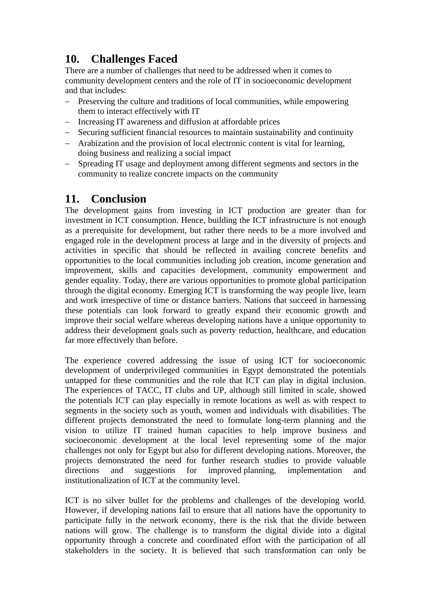## **10. Challenges Faced**

There are a number of challenges that need to be addressed when it comes to community development centers and the role of IT in socioeconomic development and that includes:

- − Preserving the culture and traditions of local communities, while empowering them to interact effectively with IT
- − Increasing IT awareness and diffusion at affordable prices
- − Securing sufficient financial resources to maintain sustainability and continuity
- − Arabization and the provision of local electronic content is vital for learning, doing business and realizing a social impact
- − Spreading IT usage and deployment among different segments and sectors in the community to realize concrete impacts on the community

## **11. Conclusion**

The development gains from investing in ICT production are greater than for investment in ICT consumption. Hence, building the ICT infrastructure is not enough as a prerequisite for development, but rather there needs to be a more involved and engaged role in the development process at large and in the diversity of projects and activities in specific that should be reflected in availing concrete benefits and opportunities to the local communities including job creation, income generation and improvement, skills and capacities development, community empowerment and gender equality. Today, there are various opportunities to promote global participation through the digital economy. Emerging ICT is transforming the way people live, learn and work irrespective of time or distance barriers. Nations that succeed in harnessing these potentials can look forward to greatly expand their economic growth and improve their social welfare whereas developing nations have a unique opportunity to address their development goals such as poverty reduction, healthcare, and education far more effectively than before.

The experience covered addressing the issue of using ICT for socioeconomic development of underprivileged communities in Egypt demonstrated the potentials untapped for these communities and the role that ICT can play in digital inclusion. The experiences of TACC, IT clubs and UP, although still limited in scale, showed the potentials ICT can play especially in remote locations as well as with respect to segments in the society such as youth, women and individuals with disabilities. The different projects demonstrated the need to formulate long-term planning and the vision to utilize IT trained human capacities to help improve business and socioeconomic development at the local level representing some of the major challenges not only for Egypt but also for different developing nations. Moreover, the projects demonstrated the need for further research studies to provide valuable directions and suggestions for improved planning, implementation and institutionalization of ICT at the community level.

ICT is no silver bullet for the problems and challenges of the developing world. However, if developing nations fail to ensure that all nations have the opportunity to participate fully in the network economy, there is the risk that the divide between nations will grow. The challenge is to transform the digital divide into a digital opportunity through a concrete and coordinated effort with the participation of all stakeholders in the society. It is believed that such transformation can only be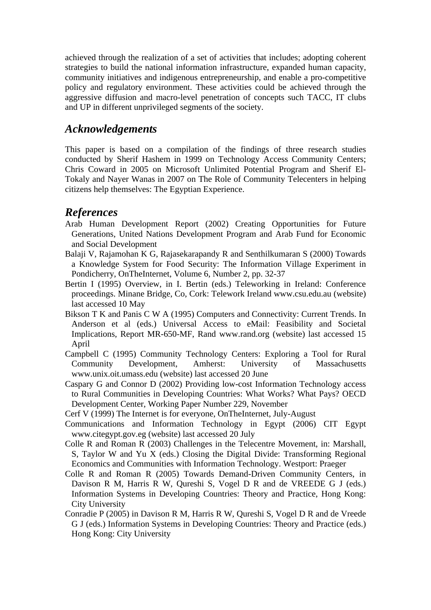achieved through the realization of a set of activities that includes; adopting coherent strategies to build the national information infrastructure, expanded human capacity, community initiatives and indigenous entrepreneurship, and enable a pro-competitive policy and regulatory environment. These activities could be achieved through the aggressive diffusion and macro-level penetration of concepts such TACC, IT clubs and UP in different unprivileged segments of the society.

### *Acknowledgements*

This paper is based on a compilation of the findings of three research studies conducted by Sherif Hashem in 1999 on Technology Access Community Centers; Chris Coward in 2005 on Microsoft Unlimited Potential Program and Sherif El-Tokaly and Nayer Wanas in 2007 on The Role of Community Telecenters in helping citizens help themselves: The Egyptian Experience.

#### *References*

- Arab Human Development Report (2002) Creating Opportunities for Future Generations, United Nations Development Program and Arab Fund for Economic and Social Development
- Balaji V, Rajamohan K G, Rajasekarapandy R and Senthilkumaran S (2000) Towards a Knowledge System for Food Security: The Information Village Experiment in Pondicherry, OnTheInternet, Volume 6, Number 2, pp. 32-37
- Bertin I (1995) Overview, in I. Bertin (eds.) Teleworking in Ireland: Conference proceedings. Minane Bridge, Co, Cork: Telework Ireland www.csu.edu.au (website) last accessed 10 May
- Bikson T K and Panis C W A (1995) Computers and Connectivity: Current Trends. In Anderson et al (eds.) Universal Access to eMail: Feasibility and Societal Implications, Report MR-650-MF, Rand www.rand.org (website) last accessed 15 April
- Campbell C (1995) Community Technology Centers: Exploring a Tool for Rural Community Development, Amherst: University of Massachusetts www.unix.oit.umass.edu (website) last accessed 20 June
- Caspary G and Connor D (2002) Providing low-cost Information Technology access to Rural Communities in Developing Countries: What Works? What Pays? OECD Development Center, Working Paper Number 229, November
- Cerf V (1999) The Internet is for everyone, OnTheInternet, July-August
- Communications and Information Technology in Egypt (2006) CIT Egypt www.citegypt.gov.eg (website) last accessed 20 July
- Colle R and Roman R (2003) Challenges in the Telecentre Movement, in: Marshall, S, Taylor W and Yu X (eds.) Closing the Digital Divide: Transforming Regional Economics and Communities with Information Technology. Westport: Praeger
- Colle R and Roman R (2005) Towards Demand-Driven Community Centers, in Davison R M, Harris R W, Qureshi S, Vogel D R and de VREEDE G J (eds.) Information Systems in Developing Countries: Theory and Practice, Hong Kong: City University
- Conradie P (2005) in Davison R M, Harris R W, Qureshi S, Vogel D R and de Vreede G J (eds.) Information Systems in Developing Countries: Theory and Practice (eds.) Hong Kong: City University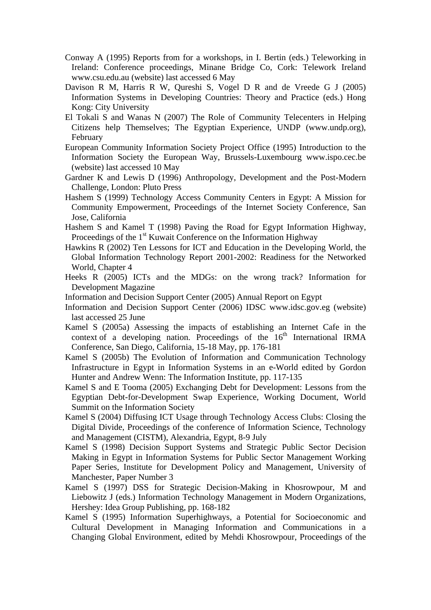- Conway A (1995) Reports from for a workshops, in I. Bertin (eds.) Teleworking in Ireland: Conference proceedings, Minane Bridge Co, Cork: Telework Ireland www.csu.edu.au (website) last accessed 6 May
- Davison R M, Harris R W, Qureshi S, Vogel D R and de Vreede G J (2005) Information Systems in Developing Countries: Theory and Practice (eds.) Hong Kong: City University
- El Tokali S and Wanas N (2007) The Role of Community Telecenters in Helping Citizens help Themselves; The Egyptian Experience, UNDP (www.undp.org), February
- European Community Information Society Project Office (1995) Introduction to the Information Society the European Way, Brussels-Luxembourg www.ispo.cec.be (website) last accessed 10 May
- Gardner K and Lewis D (1996) Anthropology, Development and the Post-Modern Challenge, London: Pluto Press
- Hashem S (1999) Technology Access Community Centers in Egypt: A Mission for Community Empowerment, Proceedings of the Internet Society Conference, San Jose, California
- Hashem S and Kamel T (1998) Paving the Road for Egypt Information Highway, Proceedings of the  $1<sup>st</sup>$  Kuwait Conference on the Information Highway
- Hawkins R (2002) Ten Lessons for ICT and Education in the Developing World, the Global Information Technology Report 2001-2002: Readiness for the Networked World, Chapter 4
- Heeks R (2005) ICTs and the MDGs: on the wrong track? Information for Development Magazine
- Information and Decision Support Center (2005) Annual Report on Egypt
- Information and Decision Support Center (2006) IDSC www.idsc.gov.eg (website) last accessed 25 June
- Kamel S (2005a) Assessing the impacts of establishing an Internet Cafe in the context of a developing nation. Proceedings of the  $16<sup>th</sup>$  International IRMA Conference, San Diego, California, 15-18 May, pp. 176-181
- Kamel S (2005b) The Evolution of Information and Communication Technology Infrastructure in Egypt in Information Systems in an e-World edited by Gordon Hunter and Andrew Wenn: The Information Institute, pp. 117-135
- Kamel S and E Tooma (2005) Exchanging Debt for Development: Lessons from the Egyptian Debt-for-Development Swap Experience, Working Document, World Summit on the Information Society
- Kamel S (2004) Diffusing ICT Usage through Technology Access Clubs: Closing the Digital Divide, Proceedings of the conference of Information Science, Technology and Management (CISTM), Alexandria, Egypt, 8-9 July
- Kamel S (1998) Decision Support Systems and Strategic Public Sector Decision Making in Egypt in Information Systems for Public Sector Management Working Paper Series, Institute for Development Policy and Management, University of Manchester, Paper Number 3
- Kamel S (1997) DSS for Strategic Decision-Making in Khosrowpour, M and Liebowitz J (eds.) Information Technology Management in Modern Organizations, Hershey: Idea Group Publishing, pp. 168-182
- Kamel S (1995) Information Superhighways, a Potential for Socioeconomic and Cultural Development in Managing Information and Communications in a Changing Global Environment, edited by Mehdi Khosrowpour, Proceedings of the